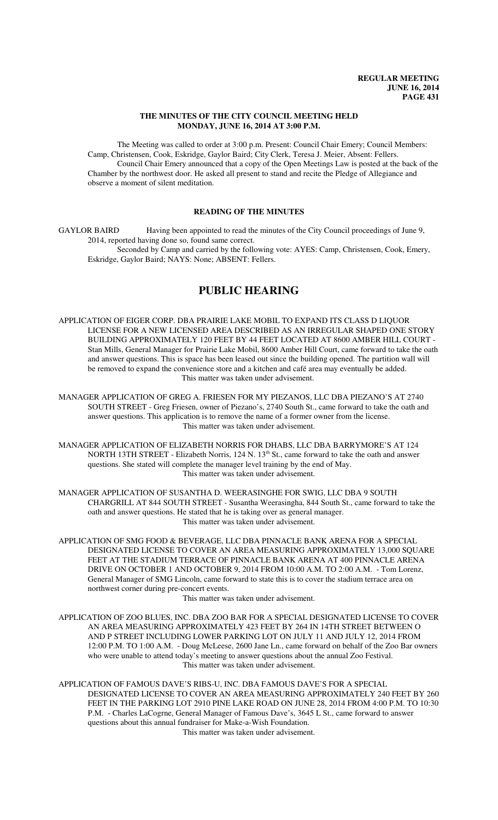### **THE MINUTES OF THE CITY COUNCIL MEETING HELD MONDAY, JUNE 16, 2014 AT 3:00 P.M.**

The Meeting was called to order at 3:00 p.m. Present: Council Chair Emery; Council Members: Camp, Christensen, Cook, Eskridge, Gaylor Baird; City Clerk, Teresa J. Meier, Absent: Fellers. Council Chair Emery announced that a copy of the Open Meetings Law is posted at the back of the Chamber by the northwest door. He asked all present to stand and recite the Pledge of Allegiance and observe a moment of silent meditation.

### **READING OF THE MINUTES**

GAYLOR BAIRD Having been appointed to read the minutes of the City Council proceedings of June 9, 2014, reported having done so, found same correct. Seconded by Camp and carried by the following vote: AYES: Camp, Christensen, Cook, Emery, Eskridge, Gaylor Baird; NAYS: None; ABSENT: Fellers.

# **PUBLIC HEARING**

APPLICATION OF EIGER CORP. DBA PRAIRIE LAKE MOBIL TO EXPAND ITS CLASS D LIQUOR LICENSE FOR A NEW LICENSED AREA DESCRIBED AS AN IRREGULAR SHAPED ONE STORY BUILDING APPROXIMATELY 120 FEET BY 44 FEET LOCATED AT 8600 AMBER HILL COURT - Stan Mills, General Manager for Prairie Lake Mobil, 8600 Amber Hill Court, came forward to take the oath and answer questions. This is space has been leased out since the building opened. The partition wall will be removed to expand the convenience store and a kitchen and café area may eventually be added. This matter was taken under advisement.

MANAGER APPLICATION OF GREG A. FRIESEN FOR MY PIEZANOS, LLC DBA PIEZANO'S AT 2740 SOUTH STREET - Greg Friesen, owner of Piezano's, 2740 South St., came forward to take the oath and answer questions. This application is to remove the name of a former owner from the license. This matter was taken under advisement.

MANAGER APPLICATION OF ELIZABETH NORRIS FOR DHABS, LLC DBA BARRYMORE'S AT 124 NORTH 13TH STREET - Elizabeth Norris, 124 N. 13<sup>th</sup> St., came forward to take the oath and answer questions. She stated will complete the manager level training by the end of May. This matter was taken under advisement.

MANAGER APPLICATION OF SUSANTHA D. WEERASINGHE FOR SWIG, LLC DBA 9 SOUTH CHARGRILL AT 844 SOUTH STREET - Susantha Weerasingha, 844 South St., came forward to take the oath and answer questions. He stated that he is taking over as general manager. This matter was taken under advisement.

APPLICATION OF SMG FOOD & BEVERAGE, LLC DBA PINNACLE BANK ARENA FOR A SPECIAL DESIGNATED LICENSE TO COVER AN AREA MEASURING APPROXIMATELY 13,000 SQUARE FEET AT THE STADIUM TERRACE OF PINNACLE BANK ARENA AT 400 PINNACLE ARENA DRIVE ON OCTOBER 1 AND OCTOBER 9, 2014 FROM 10:00 A.M. TO 2:00 A.M. - Tom Lorenz, General Manager of SMG Lincoln, came forward to state this is to cover the stadium terrace area on northwest corner during pre-concert events.

This matter was taken under advisement.

APPLICATION OF ZOO BLUES, INC. DBA ZOO BAR FOR A SPECIAL DESIGNATED LICENSE TO COVER AN AREA MEASURING APPROXIMATELY 423 FEET BY 264 IN 14TH STREET BETWEEN O AND P STREET INCLUDING LOWER PARKING LOT ON JULY 11 AND JULY 12, 2014 FROM 12:00 P.M. TO 1:00 A.M. - Doug McLeese, 2600 Jane Ln., came forward on behalf of the Zoo Bar owners who were unable to attend today's meeting to answer questions about the annual Zoo Festival. This matter was taken under advisement.

APPLICATION OF FAMOUS DAVE'S RIBS-U, INC. DBA FAMOUS DAVE'S FOR A SPECIAL DESIGNATED LICENSE TO COVER AN AREA MEASURING APPROXIMATELY 240 FEET BY 260 FEET IN THE PARKING LOT 2910 PINE LAKE ROAD ON JUNE 28, 2014 FROM 4:00 P.M. TO 10:30 P.M. - Charles LaCogrne, General Manager of Famous Dave's, 3645 L St., came forward to answer questions about this annual fundraiser for Make-a-Wish Foundation.

This matter was taken under advisement.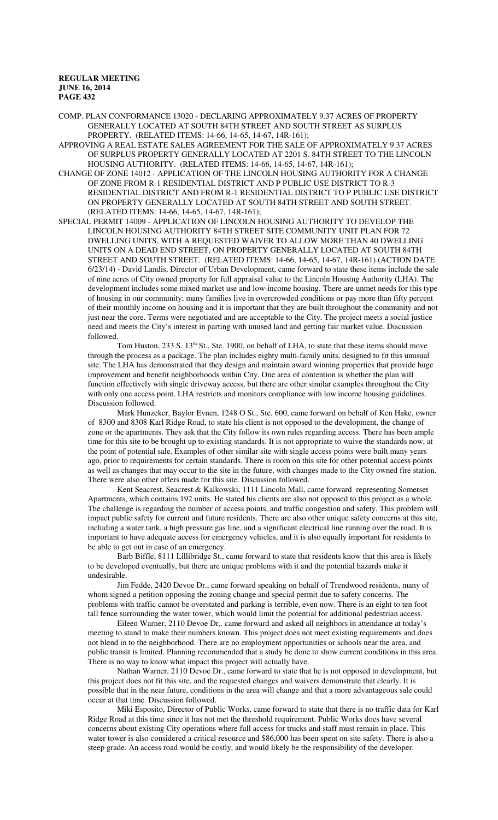COMP. PLAN CONFORMANCE 13020 - DECLARING APPROXIMATELY 9.37 ACRES OF PROPERTY GENERALLY LOCATED AT SOUTH 84TH STREET AND SOUTH STREET AS SURPLUS PROPERTY. (RELATED ITEMS: 14-66, 14-65, 14-67, 14R-161);

APPROVING A REAL ESTATE SALES AGREEMENT FOR THE SALE OF APPROXIMATELY 9.37 ACRES OF SURPLUS PROPERTY GENERALLY LOCATED AT 2201 S. 84TH STREET TO THE LINCOLN HOUSING AUTHORITY. (RELATED ITEMS: 14-66, 14-65, 14-67, 14R-161);

CHANGE OF ZONE 14012 - APPLICATION OF THE LINCOLN HOUSING AUTHORITY FOR A CHANGE OF ZONE FROM R-1 RESIDENTIAL DISTRICT AND P PUBLIC USE DISTRICT TO R-3 RESIDENTIAL DISTRICT AND FROM R-1 RESIDENTIAL DISTRICT TO P PUBLIC USE DISTRICT ON PROPERTY GENERALLY LOCATED AT SOUTH 84TH STREET AND SOUTH STREET. (RELATED ITEMS: 14-66, 14-65, 14-67, 14R-161);

SPECIAL PERMIT 14009 - APPLICATION OF LINCOLN HOUSING AUTHORITY TO DEVELOP THE LINCOLN HOUSING AUTHORITY 84TH STREET SITE COMMUNITY UNIT PLAN FOR 72 DWELLING UNITS, WITH A REQUESTED WAIVER TO ALLOW MORE THAN 40 DWELLING UNITS ON A DEAD END STREET, ON PROPERTY GENERALLY LOCATED AT SOUTH 84TH STREET AND SOUTH STREET. (RELATED ITEMS: 14-66, 14-65, 14-67, 14R-161) (ACTION DATE 6/23/14) - David Landis, Director of Urban Development, came forward to state these items include the sale of nine acres of City owned property for full appraisal value to the Lincoln Housing Authority (LHA). The development includes some mixed market use and low-income housing. There are unmet needs for this type of housing in our community; many families live in overcrowded conditions or pay more than fifty percent of their monthly income on housing and it is important that they are built throughout the community and not just near the core. Terms were negotiated and are acceptable to the City. The project meets a social justice need and meets the City's interest in parting with unused land and getting fair market value. Discussion followed.

Tom Huston, 233 S. 13<sup>th</sup> St., Ste. 1900, on behalf of LHA, to state that these items should move through the process as a package. The plan includes eighty multi-family units, designed to fit this unusual site. The LHA has demonstrated that they design and maintain award winning properties that provide huge improvement and benefit neighborhoods within City. One area of contention is whether the plan will function effectively with single driveway access, but there are other similar examples throughout the City with only one access point. LHA restricts and monitors compliance with low income housing guidelines. Discussion followed.

Mark Hunzeker, Baylor Evnen, 1248 O St., Ste. 600, came forward on behalf of Ken Hake, owner of 8300 and 8308 Karl Ridge Road, to state his client is not opposed to the development, the change of zone or the apartments. They ask that the City follow its own rules regarding access. There has been ample time for this site to be brought up to existing standards. It is not appropriate to waive the standards now, at the point of potential sale. Examples of other similar site with single access points were built many years ago, prior to requirements for certain standards. There is room on this site for other potential access points as well as changes that may occur to the site in the future, with changes made to the City owned fire station. There were also other offers made for this site. Discussion followed.

Kent Seacrest, Seacrest & Kalkowski, 1111 Lincoln Mall, came forward representing Somerset Apartments, which contains 192 units. He stated his clients are also not opposed to this project as a whole. The challenge is regarding the number of access points, and traffic congestion and safety. This problem will impact public safety for current and future residents. There are also other unique safety concerns at this site, including a water tank, a high pressure gas line, and a significant electrical line running over the road. It is important to have adequate access for emergency vehicles, and it is also equally important for residents to be able to get out in case of an emergency.

Barb Biffle, 8111 Lillibridge St., came forward to state that residents know that this area is likely to be developed eventually, but there are unique problems with it and the potential hazards make it undesirable.

Jim Fedde, 2420 Devoe Dr., came forward speaking on behalf of Trendwood residents, many of whom signed a petition opposing the zoning change and special permit due to safety concerns. The problems with traffic cannot be overstated and parking is terrible, even now. There is an eight to ten foot tall fence surrounding the water tower, which would limit the potential for additional pedestrian access.

Eileen Warner, 2110 Devoe Dr,. came forward and asked all neighbors in attendance at today's meeting to stand to make their numbers known. This project does not meet existing requirements and does not blend in to the neighborhood. There are no employment opportunities or schools near the area, and public transit is limited. Planning recommended that a study be done to show current conditions in this area. There is no way to know what impact this project will actually have.

Nathan Warner, 2110 Devoe Dr., came forward to state that he is not opposed to development, but this project does not fit this site, and the requested changes and waivers demonstrate that clearly. It is possible that in the near future, conditions in the area will change and that a more advantageous sale could occur at that time. Discussion followed.

Miki Esposito, Director of Public Works, came forward to state that there is no traffic data for Karl Ridge Road at this time since it has not met the threshold requirement. Public Works does have several concerns about existing City operations where full access for trucks and staff must remain in place. This water tower is also considered a critical resource and \$86,000 has been spent on site safety. There is also a steep grade. An access road would be costly, and would likely be the responsibility of the developer.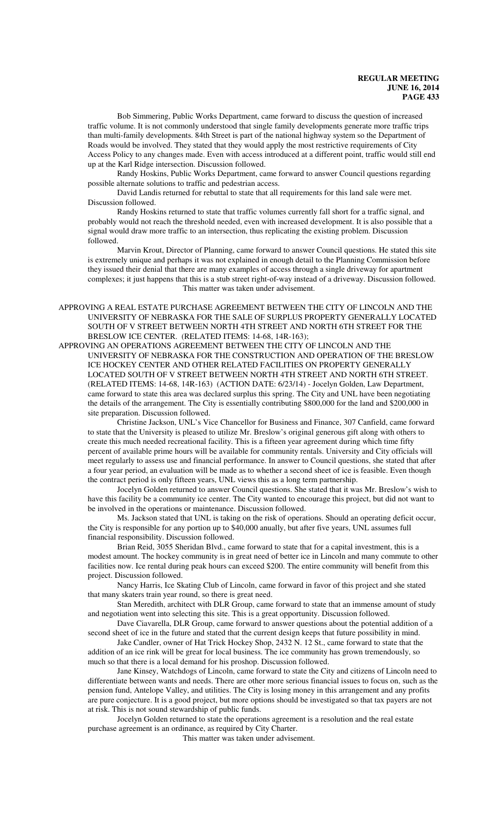Bob Simmering, Public Works Department, came forward to discuss the question of increased traffic volume. It is not commonly understood that single family developments generate more traffic trips than multi-family developments. 84th Street is part of the national highway system so the Department of Roads would be involved. They stated that they would apply the most restrictive requirements of City Access Policy to any changes made. Even with access introduced at a different point, traffic would still end up at the Karl Ridge intersection. Discussion followed.

Randy Hoskins, Public Works Department, came forward to answer Council questions regarding possible alternate solutions to traffic and pedestrian access.

David Landis returned for rebuttal to state that all requirements for this land sale were met. Discussion followed.

Randy Hoskins returned to state that traffic volumes currently fall short for a traffic signal, and probably would not reach the threshold needed, even with increased development. It is also possible that a signal would draw more traffic to an intersection, thus replicating the existing problem. Discussion followed.

Marvin Krout, Director of Planning, came forward to answer Council questions. He stated this site is extremely unique and perhaps it was not explained in enough detail to the Planning Commission before they issued their denial that there are many examples of access through a single driveway for apartment complexes; it just happens that this is a stub street right-of-way instead of a driveway. Discussion followed. This matter was taken under advisement.

APPROVING A REAL ESTATE PURCHASE AGREEMENT BETWEEN THE CITY OF LINCOLN AND THE UNIVERSITY OF NEBRASKA FOR THE SALE OF SURPLUS PROPERTY GENERALLY LOCATED SOUTH OF V STREET BETWEEN NORTH 4TH STREET AND NORTH 6TH STREET FOR THE BRESLOW ICE CENTER. (RELATED ITEMS: 14-68, 14R-163);

APPROVING AN OPERATIONS AGREEMENT BETWEEN THE CITY OF LINCOLN AND THE UNIVERSITY OF NEBRASKA FOR THE CONSTRUCTION AND OPERATION OF THE BRESLOW ICE HOCKEY CENTER AND OTHER RELATED FACILITIES ON PROPERTY GENERALLY LOCATED SOUTH OF V STREET BETWEEN NORTH 4TH STREET AND NORTH 6TH STREET. (RELATED ITEMS: 14-68, 14R-163) (ACTION DATE: 6/23/14) - Jocelyn Golden, Law Department, came forward to state this area was declared surplus this spring. The City and UNL have been negotiating the details of the arrangement. The City is essentially contributing \$800,000 for the land and \$200,000 in site preparation. Discussion followed.

Christine Jackson, UNL's Vice Chancellor for Business and Finance, 307 Canfield, came forward to state that the University is pleased to utilize Mr. Breslow's original generous gift along with others to create this much needed recreational facility. This is a fifteen year agreement during which time fifty percent of available prime hours will be available for community rentals. University and City officials will meet regularly to assess use and financial performance. In answer to Council questions, she stated that after a four year period, an evaluation will be made as to whether a second sheet of ice is feasible. Even though the contract period is only fifteen years, UNL views this as a long term partnership.

Jocelyn Golden returned to answer Council questions. She stated that it was Mr. Breslow's wish to have this facility be a community ice center. The City wanted to encourage this project, but did not want to be involved in the operations or maintenance. Discussion followed.

Ms. Jackson stated that UNL is taking on the risk of operations. Should an operating deficit occur, the City is responsible for any portion up to \$40,000 anually, but after five years, UNL assumes full financial responsibility. Discussion followed.

Brian Reid, 3055 Sheridan Blvd., came forward to state that for a capital investment, this is a modest amount. The hockey community is in great need of better ice in Lincoln and many commute to other facilities now. Ice rental during peak hours can exceed \$200. The entire community will benefit from this project. Discussion followed.

Nancy Harris, Ice Skating Club of Lincoln, came forward in favor of this project and she stated that many skaters train year round, so there is great need.

Stan Meredith, architect with DLR Group, came forward to state that an immense amount of study and negotiation went into selecting this site. This is a great opportunity. Discussion followed.

Dave Ciavarella, DLR Group, came forward to answer questions about the potential addition of a second sheet of ice in the future and stated that the current design keeps that future possibility in mind.

Jake Candler, owner of Hat Trick Hockey Shop, 2432 N. 12 St., came forward to state that the addition of an ice rink will be great for local business. The ice community has grown tremendously, so much so that there is a local demand for his proshop. Discussion followed.

Jane Kinsey, Watchdogs of Lincoln, came forward to state the City and citizens of Lincoln need to differentiate between wants and needs. There are other more serious financial issues to focus on, such as the pension fund, Antelope Valley, and utilities. The City is losing money in this arrangement and any profits are pure conjecture. It is a good project, but more options should be investigated so that tax payers are not at risk. This is not sound stewardship of public funds.

Jocelyn Golden returned to state the operations agreement is a resolution and the real estate purchase agreement is an ordinance, as required by City Charter.

This matter was taken under advisement.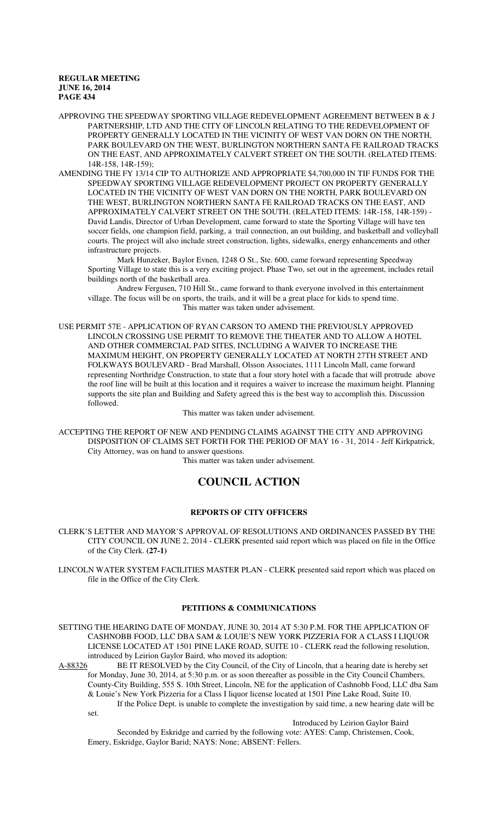APPROVING THE SPEEDWAY SPORTING VILLAGE REDEVELOPMENT AGREEMENT BETWEEN B & J PARTNERSHIP, LTD AND THE CITY OF LINCOLN RELATING TO THE REDEVELOPMENT OF PROPERTY GENERALLY LOCATED IN THE VICINITY OF WEST VAN DORN ON THE NORTH, PARK BOULEVARD ON THE WEST, BURLINGTON NORTHERN SANTA FE RAILROAD TRACKS ON THE EAST, AND APPROXIMATELY CALVERT STREET ON THE SOUTH. (RELATED ITEMS: 14R-158, 14R-159);

AMENDING THE FY 13/14 CIP TO AUTHORIZE AND APPROPRIATE \$4,700,000 IN TIF FUNDS FOR THE SPEEDWAY SPORTING VILLAGE REDEVELOPMENT PROJECT ON PROPERTY GENERALLY LOCATED IN THE VICINITY OF WEST VAN DORN ON THE NORTH, PARK BOULEVARD ON THE WEST, BURLINGTON NORTHERN SANTA FE RAILROAD TRACKS ON THE EAST, AND APPROXIMATELY CALVERT STREET ON THE SOUTH. (RELATED ITEMS: 14R-158, 14R-159) - David Landis, Director of Urban Development, came forward to state the Sporting Village will have ten soccer fields, one champion field, parking, a trail connection, an out building, and basketball and volleyball courts. The project will also include street construction, lights, sidewalks, energy enhancements and other infrastructure projects.

Mark Hunzeker, Baylor Evnen, 1248 O St., Ste. 600, came forward representing Speedway Sporting Village to state this is a very exciting project. Phase Two, set out in the agreement, includes retail buildings north of the basketball area.

Andrew Fergusen, 710 Hill St., came forward to thank everyone involved in this entertainment village. The focus will be on sports, the trails, and it will be a great place for kids to spend time. This matter was taken under advisement.

USE PERMIT 57E - APPLICATION OF RYAN CARSON TO AMEND THE PREVIOUSLY APPROVED LINCOLN CROSSING USE PERMIT TO REMOVE THE THEATER AND TO ALLOW A HOTEL AND OTHER COMMERCIAL PAD SITES, INCLUDING A WAIVER TO INCREASE THE MAXIMUM HEIGHT, ON PROPERTY GENERALLY LOCATED AT NORTH 27TH STREET AND FOLKWAYS BOULEVARD - Brad Marshall, Olsson Associates, 1111 Lincoln Mall, came forward representing Northridge Construction, to state that a four story hotel with a facade that will protrude above the roof line will be built at this location and it requires a waiver to increase the maximum height. Planning supports the site plan and Building and Safety agreed this is the best way to accomplish this. Discussion followed.

This matter was taken under advisement.

ACCEPTING THE REPORT OF NEW AND PENDING CLAIMS AGAINST THE CITY AND APPROVING DISPOSITION OF CLAIMS SET FORTH FOR THE PERIOD OF MAY 16 - 31, 2014 - Jeff Kirkpatrick, City Attorney, was on hand to answer questions.

This matter was taken under advisement.

# **COUNCIL ACTION**

### **REPORTS OF CITY OFFICERS**

CLERK'S LETTER AND MAYOR'S APPROVAL OF RESOLUTIONS AND ORDINANCES PASSED BY THE CITY COUNCIL ON JUNE 2, 2014 - CLERK presented said report which was placed on file in the Office of the City Clerk. **(27-1)**

LINCOLN WATER SYSTEM FACILITIES MASTER PLAN - CLERK presented said report which was placed on file in the Office of the City Clerk.

## **PETITIONS & COMMUNICATIONS**

SETTING THE HEARING DATE OF MONDAY, JUNE 30, 2014 AT 5:30 P.M. FOR THE APPLICATION OF CASHNOBB FOOD, LLC DBA SAM & LOUIE'S NEW YORK PIZZERIA FOR A CLASS I LIQUOR LICENSE LOCATED AT 1501 PINE LAKE ROAD, SUITE 10 - CLERK read the following resolution, introduced by Leirion Gaylor Baird, who moved its adoption:<br>A-88326 BE IT RESOLVED by the City Council, of the City

BE IT RESOLVED by the City Council, of the City of Lincoln, that a hearing date is hereby set for Monday, June 30, 2014, at 5:30 p.m. or as soon thereafter as possible in the City Council Chambers, County-City Building, 555 S. 10th Street, Lincoln, NE for the application of Cashnobb Food, LLC dba Sam & Louie's New York Pizzeria for a Class I liquor license located at 1501 Pine Lake Road, Suite 10. If the Police Dept. is unable to complete the investigation by said time, a new hearing date will be set.

Introduced by Leirion Gaylor Baird

Seconded by Eskridge and carried by the following vote: AYES: Camp, Christensen, Cook, Emery, Eskridge, Gaylor Barid; NAYS: None; ABSENT: Fellers.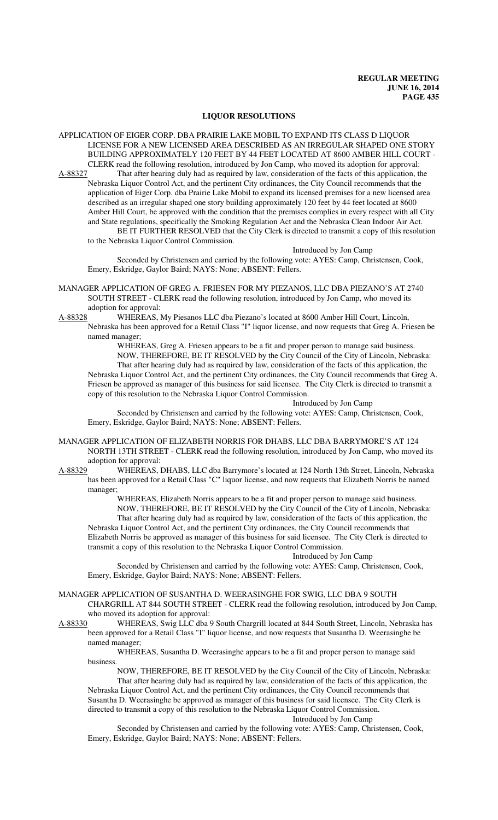#### **LIQUOR RESOLUTIONS**

- APPLICATION OF EIGER CORP. DBA PRAIRIE LAKE MOBIL TO EXPAND ITS CLASS D LIQUOR LICENSE FOR A NEW LICENSED AREA DESCRIBED AS AN IRREGULAR SHAPED ONE STORY BUILDING APPROXIMATELY 120 FEET BY 44 FEET LOCATED AT 8600 AMBER HILL COURT - CLERK read the following resolution, introduced by Jon Camp, who moved its adoption for approval:
- A-88327 That after hearing duly had as required by law, consideration of the facts of this application, the Nebraska Liquor Control Act, and the pertinent City ordinances, the City Council recommends that the application of Eiger Corp. dba Prairie Lake Mobil to expand its licensed premises for a new licensed area described as an irregular shaped one story building approximately 120 feet by 44 feet located at 8600 Amber Hill Court, be approved with the condition that the premises complies in every respect with all City and State regulations, specifically the Smoking Regulation Act and the Nebraska Clean Indoor Air Act. BE IT FURTHER RESOLVED that the City Clerk is directed to transmit a copy of this resolution

to the Nebraska Liquor Control Commission.

Introduced by Jon Camp

Seconded by Christensen and carried by the following vote: AYES: Camp, Christensen, Cook, Emery, Eskridge, Gaylor Baird; NAYS: None; ABSENT: Fellers.

- MANAGER APPLICATION OF GREG A. FRIESEN FOR MY PIEZANOS, LLC DBA PIEZANO'S AT 2740 SOUTH STREET - CLERK read the following resolution, introduced by Jon Camp, who moved its adoption for approval:
- A-88328 WHEREAS, My Piesanos LLC dba Piezano's located at 8600 Amber Hill Court, Lincoln, Nebraska has been approved for a Retail Class "I" liquor license, and now requests that Greg A. Friesen be named manager;

WHEREAS, Greg A. Friesen appears to be a fit and proper person to manage said business. NOW, THEREFORE, BE IT RESOLVED by the City Council of the City of Lincoln, Nebraska: That after hearing duly had as required by law, consideration of the facts of this application, the Nebraska Liquor Control Act, and the pertinent City ordinances, the City Council recommends that Greg A. Friesen be approved as manager of this business for said licensee. The City Clerk is directed to transmit a copy of this resolution to the Nebraska Liquor Control Commission.

### Introduced by Jon Camp

Seconded by Christensen and carried by the following vote: AYES: Camp, Christensen, Cook, Emery, Eskridge, Gaylor Baird; NAYS: None; ABSENT: Fellers.

- MANAGER APPLICATION OF ELIZABETH NORRIS FOR DHABS, LLC DBA BARRYMORE'S AT 124 NORTH 13TH STREET - CLERK read the following resolution, introduced by Jon Camp, who moved its
- adoption for approval:<br>A-88329 WHEREAS, I WHEREAS, DHABS, LLC dba Barrymore's located at 124 North 13th Street, Lincoln, Nebraska has been approved for a Retail Class "C" liquor license, and now requests that Elizabeth Norris be named manager;

WHEREAS, Elizabeth Norris appears to be a fit and proper person to manage said business. NOW, THEREFORE, BE IT RESOLVED by the City Council of the City of Lincoln, Nebraska: That after hearing duly had as required by law, consideration of the facts of this application, the

Nebraska Liquor Control Act, and the pertinent City ordinances, the City Council recommends that Elizabeth Norris be approved as manager of this business for said licensee. The City Clerk is directed to transmit a copy of this resolution to the Nebraska Liquor Control Commission.

### Introduced by Jon Camp

Seconded by Christensen and carried by the following vote: AYES: Camp, Christensen, Cook, Emery, Eskridge, Gaylor Baird; NAYS: None; ABSENT: Fellers.

- MANAGER APPLICATION OF SUSANTHA D. WEERASINGHE FOR SWIG, LLC DBA 9 SOUTH CHARGRILL AT 844 SOUTH STREET - CLERK read the following resolution, introduced by Jon Camp, who moved its adoption for approval:
- A-88330 WHEREAS, Swig LLC dba 9 South Chargrill located at 844 South Street, Lincoln, Nebraska has been approved for a Retail Class "I" liquor license, and now requests that Susantha D. Weerasinghe be named manager;

WHEREAS, Susantha D. Weerasinghe appears to be a fit and proper person to manage said business.

NOW, THEREFORE, BE IT RESOLVED by the City Council of the City of Lincoln, Nebraska: That after hearing duly had as required by law, consideration of the facts of this application, the

Nebraska Liquor Control Act, and the pertinent City ordinances, the City Council recommends that Susantha D. Weerasinghe be approved as manager of this business for said licensee. The City Clerk is directed to transmit a copy of this resolution to the Nebraska Liquor Control Commission.

Introduced by Jon Camp

Seconded by Christensen and carried by the following vote: AYES: Camp, Christensen, Cook, Emery, Eskridge, Gaylor Baird; NAYS: None; ABSENT: Fellers.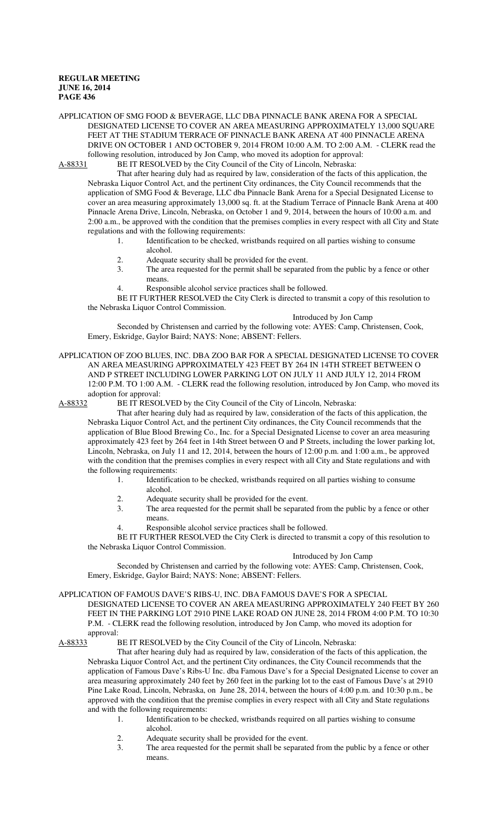APPLICATION OF SMG FOOD & BEVERAGE, LLC DBA PINNACLE BANK ARENA FOR A SPECIAL DESIGNATED LICENSE TO COVER AN AREA MEASURING APPROXIMATELY 13,000 SQUARE FEET AT THE STADIUM TERRACE OF PINNACLE BANK ARENA AT 400 PINNACLE ARENA DRIVE ON OCTOBER 1 AND OCTOBER 9, 2014 FROM 10:00 A.M. TO 2:00 A.M. - CLERK read the following resolution, introduced by Jon Camp, who moved its adoption for approval:

A-88331 BE IT RESOLVED by the City Council of the City of Lincoln, Nebraska:

That after hearing duly had as required by law, consideration of the facts of this application, the Nebraska Liquor Control Act, and the pertinent City ordinances, the City Council recommends that the application of SMG Food & Beverage, LLC dba Pinnacle Bank Arena for a Special Designated License to cover an area measuring approximately 13,000 sq. ft. at the Stadium Terrace of Pinnacle Bank Arena at 400 Pinnacle Arena Drive, Lincoln, Nebraska, on October 1 and 9, 2014, between the hours of 10:00 a.m. and 2:00 a.m., be approved with the condition that the premises complies in every respect with all City and State regulations and with the following requirements:

- 1. Identification to be checked, wristbands required on all parties wishing to consume alcohol.
- 2. Adequate security shall be provided for the event.<br>3 The area requested for the permit shall be separate
- The area requested for the permit shall be separated from the public by a fence or other means.
- 4. Responsible alcohol service practices shall be followed.

BE IT FURTHER RESOLVED the City Clerk is directed to transmit a copy of this resolution to the Nebraska Liquor Control Commission.

### Introduced by Jon Camp

Seconded by Christensen and carried by the following vote: AYES: Camp, Christensen, Cook, Emery, Eskridge, Gaylor Baird; NAYS: None; ABSENT: Fellers.

APPLICATION OF ZOO BLUES, INC. DBA ZOO BAR FOR A SPECIAL DESIGNATED LICENSE TO COVER AN AREA MEASURING APPROXIMATELY 423 FEET BY 264 IN 14TH STREET BETWEEN O AND P STREET INCLUDING LOWER PARKING LOT ON JULY 11 AND JULY 12, 2014 FROM 12:00 P.M. TO 1:00 A.M. - CLERK read the following resolution, introduced by Jon Camp, who moved its adoption for approval:

A-88332 BE IT RESOLVED by the City Council of the City of Lincoln, Nebraska:

That after hearing duly had as required by law, consideration of the facts of this application, the Nebraska Liquor Control Act, and the pertinent City ordinances, the City Council recommends that the application of Blue Blood Brewing Co., Inc. for a Special Designated License to cover an area measuring approximately 423 feet by 264 feet in 14th Street between O and P Streets, including the lower parking lot, Lincoln, Nebraska, on July 11 and 12, 2014, between the hours of 12:00 p.m. and 1:00 a.m., be approved with the condition that the premises complies in every respect with all City and State regulations and with the following requirements:

- 1. Identification to be checked, wristbands required on all parties wishing to consume
	- alcohol.
- 2. Adequate security shall be provided for the event.
- 3. The area requested for the permit shall be separated from the public by a fence or other means.
- 4. Responsible alcohol service practices shall be followed.

BE IT FURTHER RESOLVED the City Clerk is directed to transmit a copy of this resolution to the Nebraska Liquor Control Commission.

#### Introduced by Jon Camp

Seconded by Christensen and carried by the following vote: AYES: Camp, Christensen, Cook, Emery, Eskridge, Gaylor Baird; NAYS: None; ABSENT: Fellers.

APPLICATION OF FAMOUS DAVE'S RIBS-U, INC. DBA FAMOUS DAVE'S FOR A SPECIAL

DESIGNATED LICENSE TO COVER AN AREA MEASURING APPROXIMATELY 240 FEET BY 260 FEET IN THE PARKING LOT 2910 PINE LAKE ROAD ON JUNE 28, 2014 FROM 4:00 P.M. TO 10:30 P.M. - CLERK read the following resolution, introduced by Jon Camp, who moved its adoption for approval:

A-88333 BE IT RESOLVED by the City Council of the City of Lincoln, Nebraska:

That after hearing duly had as required by law, consideration of the facts of this application, the Nebraska Liquor Control Act, and the pertinent City ordinances, the City Council recommends that the application of Famous Dave's Ribs-U Inc. dba Famous Dave's for a Special Designated License to cover an area measuring approximately 240 feet by 260 feet in the parking lot to the east of Famous Dave's at 2910 Pine Lake Road, Lincoln, Nebraska, on June 28, 2014, between the hours of 4:00 p.m. and 10:30 p.m., be approved with the condition that the premise complies in every respect with all City and State regulations and with the following requirements:

- 1. Identification to be checked, wristbands required on all parties wishing to consume alcohol.
- 2. Adequate security shall be provided for the event.
- 3. The area requested for the permit shall be separated from the public by a fence or other means.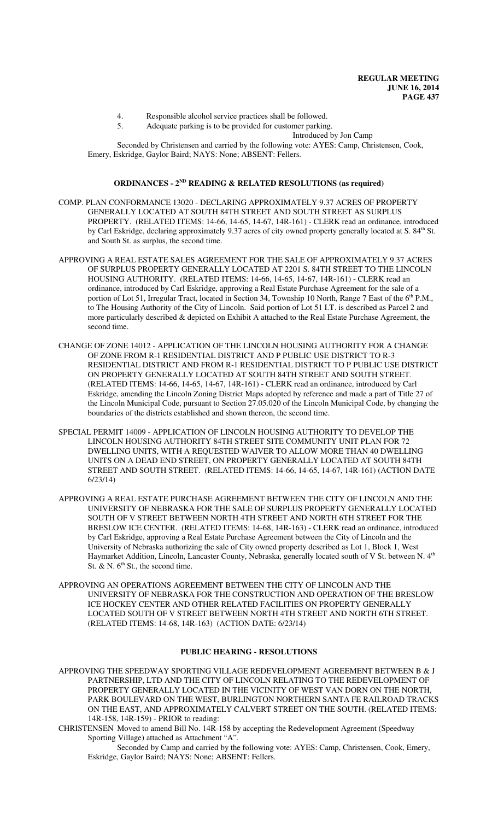- 4. Responsible alcohol service practices shall be followed.
- 5. Adequate parking is to be provided for customer parking.

Introduced by Jon Camp

Seconded by Christensen and carried by the following vote: AYES: Camp, Christensen, Cook, Emery, Eskridge, Gaylor Baird; NAYS: None; ABSENT: Fellers.

#### **ORDINANCES - 2ND READING & RELATED RESOLUTIONS (as required)**

- COMP. PLAN CONFORMANCE 13020 DECLARING APPROXIMATELY 9.37 ACRES OF PROPERTY GENERALLY LOCATED AT SOUTH 84TH STREET AND SOUTH STREET AS SURPLUS PROPERTY. (RELATED ITEMS: 14-66, 14-65, 14-67, 14R-161) - CLERK read an ordinance, introduced by Carl Eskridge, declaring approximately 9.37 acres of city owned property generally located at S. 84<sup>th</sup> St. and South St. as surplus, the second time.
- APPROVING A REAL ESTATE SALES AGREEMENT FOR THE SALE OF APPROXIMATELY 9.37 ACRES OF SURPLUS PROPERTY GENERALLY LOCATED AT 2201 S. 84TH STREET TO THE LINCOLN HOUSING AUTHORITY. (RELATED ITEMS: 14-66, 14-65, 14-67, 14R-161) - CLERK read an ordinance, introduced by Carl Eskridge, approving a Real Estate Purchase Agreement for the sale of a portion of Lot 51, Irregular Tract, located in Section 34, Township 10 North, Range 7 East of the 6<sup>th</sup> P.M., to The Housing Authority of the City of Lincoln. Said portion of Lot 51 I.T. is described as Parcel 2 and more particularly described & depicted on Exhibit A attached to the Real Estate Purchase Agreement, the second time.
- CHANGE OF ZONE 14012 APPLICATION OF THE LINCOLN HOUSING AUTHORITY FOR A CHANGE OF ZONE FROM R-1 RESIDENTIAL DISTRICT AND P PUBLIC USE DISTRICT TO R-3 RESIDENTIAL DISTRICT AND FROM R-1 RESIDENTIAL DISTRICT TO P PUBLIC USE DISTRICT ON PROPERTY GENERALLY LOCATED AT SOUTH 84TH STREET AND SOUTH STREET. (RELATED ITEMS: 14-66, 14-65, 14-67, 14R-161) - CLERK read an ordinance, introduced by Carl Eskridge, amending the Lincoln Zoning District Maps adopted by reference and made a part of Title 27 of the Lincoln Municipal Code, pursuant to Section 27.05.020 of the Lincoln Municipal Code, by changing the boundaries of the districts established and shown thereon, the second time.
- SPECIAL PERMIT 14009 APPLICATION OF LINCOLN HOUSING AUTHORITY TO DEVELOP THE LINCOLN HOUSING AUTHORITY 84TH STREET SITE COMMUNITY UNIT PLAN FOR 72 DWELLING UNITS, WITH A REQUESTED WAIVER TO ALLOW MORE THAN 40 DWELLING UNITS ON A DEAD END STREET, ON PROPERTY GENERALLY LOCATED AT SOUTH 84TH STREET AND SOUTH STREET. (RELATED ITEMS: 14-66, 14-65, 14-67, 14R-161) (ACTION DATE 6/23/14)
- APPROVING A REAL ESTATE PURCHASE AGREEMENT BETWEEN THE CITY OF LINCOLN AND THE UNIVERSITY OF NEBRASKA FOR THE SALE OF SURPLUS PROPERTY GENERALLY LOCATED SOUTH OF V STREET BETWEEN NORTH 4TH STREET AND NORTH 6TH STREET FOR THE BRESLOW ICE CENTER. (RELATED ITEMS: 14-68, 14R-163) - CLERK read an ordinance, introduced by Carl Eskridge, approving a Real Estate Purchase Agreement between the City of Lincoln and the University of Nebraska authorizing the sale of City owned property described as Lot 1, Block 1, West Haymarket Addition, Lincoln, Lancaster County, Nebraska, generally located south of V St. between N. 4<sup>th</sup> St. & N.  $6<sup>th</sup>$  St., the second time.
- APPROVING AN OPERATIONS AGREEMENT BETWEEN THE CITY OF LINCOLN AND THE UNIVERSITY OF NEBRASKA FOR THE CONSTRUCTION AND OPERATION OF THE BRESLOW ICE HOCKEY CENTER AND OTHER RELATED FACILITIES ON PROPERTY GENERALLY LOCATED SOUTH OF V STREET BETWEEN NORTH 4TH STREET AND NORTH 6TH STREET. (RELATED ITEMS: 14-68, 14R-163) (ACTION DATE: 6/23/14)

### **PUBLIC HEARING - RESOLUTIONS**

- APPROVING THE SPEEDWAY SPORTING VILLAGE REDEVELOPMENT AGREEMENT BETWEEN B & J PARTNERSHIP, LTD AND THE CITY OF LINCOLN RELATING TO THE REDEVELOPMENT OF PROPERTY GENERALLY LOCATED IN THE VICINITY OF WEST VAN DORN ON THE NORTH, PARK BOULEVARD ON THE WEST, BURLINGTON NORTHERN SANTA FE RAILROAD TRACKS ON THE EAST, AND APPROXIMATELY CALVERT STREET ON THE SOUTH. (RELATED ITEMS: 14R-158, 14R-159) - PRIOR to reading:
- CHRISTENSEN Moved to amend Bill No. 14R-158 by accepting the Redevelopment Agreement (Speedway Sporting Village) attached as Attachment "A".
	- Seconded by Camp and carried by the following vote: AYES: Camp, Christensen, Cook, Emery, Eskridge, Gaylor Baird; NAYS: None; ABSENT: Fellers.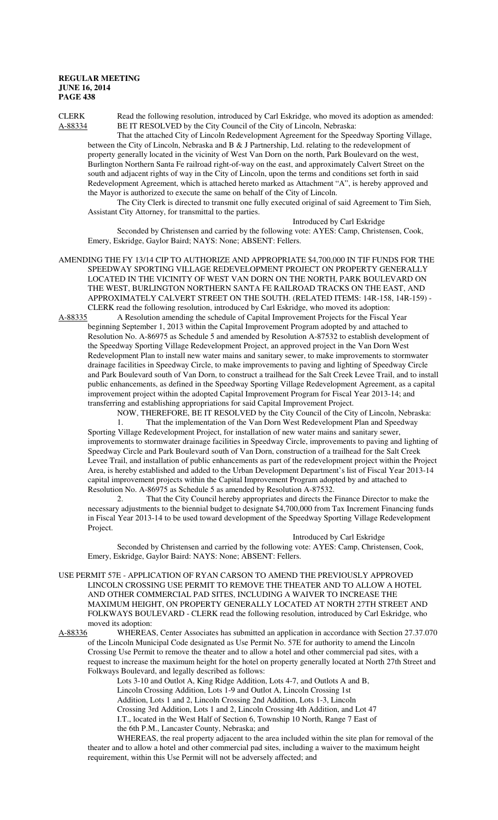CLERK Read the following resolution, introduced by Carl Eskridge, who moved its adoption as amended: A-88334 BE IT RESOLVED by the City Council of the City of Lincoln, Nebraska:

That the attached City of Lincoln Redevelopment Agreement for the Speedway Sporting Village, between the City of Lincoln, Nebraska and B & J Partnership, Ltd. relating to the redevelopment of property generally located in the vicinity of West Van Dorn on the north, Park Boulevard on the west, Burlington Northern Santa Fe railroad right-of-way on the east, and approximately Calvert Street on the south and adjacent rights of way in the City of Lincoln, upon the terms and conditions set forth in said Redevelopment Agreement, which is attached hereto marked as Attachment "A", is hereby approved and the Mayor is authorized to execute the same on behalf of the City of Lincoln.

The City Clerk is directed to transmit one fully executed original of said Agreement to Tim Sieh, Assistant City Attorney, for transmittal to the parties.

Introduced by Carl Eskridge Seconded by Christensen and carried by the following vote: AYES: Camp, Christensen, Cook, Emery, Eskridge, Gaylor Baird; NAYS: None; ABSENT: Fellers.

AMENDING THE FY 13/14 CIP TO AUTHORIZE AND APPROPRIATE \$4,700,000 IN TIF FUNDS FOR THE SPEEDWAY SPORTING VILLAGE REDEVELOPMENT PROJECT ON PROPERTY GENERALLY LOCATED IN THE VICINITY OF WEST VAN DORN ON THE NORTH, PARK BOULEVARD ON THE WEST, BURLINGTON NORTHERN SANTA FE RAILROAD TRACKS ON THE EAST, AND APPROXIMATELY CALVERT STREET ON THE SOUTH. (RELATED ITEMS: 14R-158, 14R-159) - CLERK read the following resolution, introduced by Carl Eskridge, who moved its adoption:<br>A-88335 A Resolution amending the schedule of Capital Improvement Projects for the Fiscal

A-Resolution amending the schedule of Capital Improvement Projects for the Fiscal Year beginning September 1, 2013 within the Capital Improvement Program adopted by and attached to Resolution No. A-86975 as Schedule 5 and amended by Resolution A-87532 to establish development of the Speedway Sporting Village Redevelopment Project, an approved project in the Van Dorn West Redevelopment Plan to install new water mains and sanitary sewer, to make improvements to stormwater drainage facilities in Speedway Circle, to make improvements to paving and lighting of Speedway Circle and Park Boulevard south of Van Dorn, to construct a trailhead for the Salt Creek Levee Trail, and to install public enhancements, as defined in the Speedway Sporting Village Redevelopment Agreement, as a capital improvement project within the adopted Capital Improvement Program for Fiscal Year 2013-14; and transferring and establishing appropriations for said Capital Improvement Project.

NOW, THEREFORE, BE IT RESOLVED by the City Council of the City of Lincoln, Nebraska:

1. That the implementation of the Van Dorn West Redevelopment Plan and Speedway Sporting Village Redevelopment Project, for installation of new water mains and sanitary sewer, improvements to stormwater drainage facilities in Speedway Circle, improvements to paving and lighting of Speedway Circle and Park Boulevard south of Van Dorn, construction of a trailhead for the Salt Creek Levee Trail, and installation of public enhancements as part of the redevelopment project within the Project Area, is hereby established and added to the Urban Development Department's list of Fiscal Year 2013-14 capital improvement projects within the Capital Improvement Program adopted by and attached to Resolution No. A-86975 as Schedule 5 as amended by Resolution A-87532.

2. That the City Council hereby appropriates and directs the Finance Director to make the necessary adjustments to the biennial budget to designate \$4,700,000 from Tax Increment Financing funds in Fiscal Year 2013-14 to be used toward development of the Speedway Sporting Village Redevelopment Project.

Introduced by Carl Eskridge

Seconded by Christensen and carried by the following vote: AYES: Camp, Christensen, Cook, Emery, Eskridge, Gaylor Baird: NAYS: None; ABSENT: Fellers.

USE PERMIT 57E - APPLICATION OF RYAN CARSON TO AMEND THE PREVIOUSLY APPROVED LINCOLN CROSSING USE PERMIT TO REMOVE THE THEATER AND TO ALLOW A HOTEL AND OTHER COMMERCIAL PAD SITES, INCLUDING A WAIVER TO INCREASE THE MAXIMUM HEIGHT, ON PROPERTY GENERALLY LOCATED AT NORTH 27TH STREET AND FOLKWAYS BOULEVARD - CLERK read the following resolution, introduced by Carl Eskridge, who moved its adoption:<br>A-88336 WHEREAS

WHEREAS, Center Associates has submitted an application in accordance with Section 27.37.070 of the Lincoln Municipal Code designated as Use Permit No. 57E for authority to amend the Lincoln Crossing Use Permit to remove the theater and to allow a hotel and other commercial pad sites, with a request to increase the maximum height for the hotel on property generally located at North 27th Street and Folkways Boulevard, and legally described as follows:

Lots 3-10 and Outlot A, King Ridge Addition, Lots 4-7, and Outlots A and B,

Lincoln Crossing Addition, Lots 1-9 and Outlot A, Lincoln Crossing 1st

Addition, Lots 1 and 2, Lincoln Crossing 2nd Addition, Lots 1-3, Lincoln

Crossing 3rd Addition, Lots 1 and 2, Lincoln Crossing 4th Addition, and Lot 47

I.T., located in the West Half of Section 6, Township 10 North, Range 7 East of the 6th P.M., Lancaster County, Nebraska; and

WHEREAS, the real property adjacent to the area included within the site plan for removal of the theater and to allow a hotel and other commercial pad sites, including a waiver to the maximum height requirement, within this Use Permit will not be adversely affected; and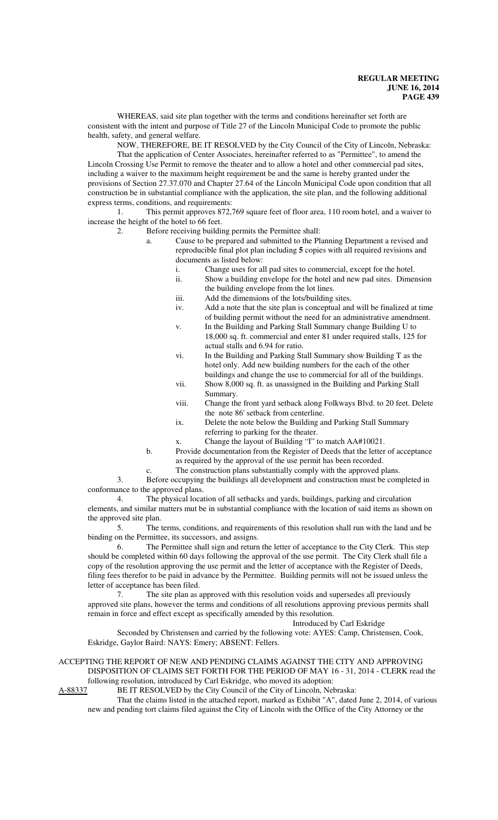WHEREAS, said site plan together with the terms and conditions hereinafter set forth are consistent with the intent and purpose of Title 27 of the Lincoln Municipal Code to promote the public health, safety, and general welfare.

NOW, THEREFORE, BE IT RESOLVED by the City Council of the City of Lincoln, Nebraska: That the application of Center Associates, hereinafter referred to as "Permittee", to amend the Lincoln Crossing Use Permit to remove the theater and to allow a hotel and other commercial pad sites, including a waiver to the maximum height requirement be and the same is hereby granted under the provisions of Section 27.37.070 and Chapter 27.64 of the Lincoln Municipal Code upon condition that all construction be in substantial compliance with the application, the site plan, and the following additional express terms, conditions, and requirements:

1. This permit approves 872,769 square feet of floor area, 110 room hotel, and a waiver to increase the height of the hotel to 66 feet.

- 2. Before receiving building permits the Permittee shall:
	- a. Cause to be prepared and submitted to the Planning Department a revised and reproducible final plot plan including **5** copies with all required revisions and documents as listed below:
		- i. Change uses for all pad sites to commercial, except for the hotel.
		- ii. Show a building envelope for the hotel and new pad sites. Dimension the building envelope from the lot lines.
		- iii. Add the dimensions of the lots/building sites.
		- iv. Add a note that the site plan is conceptual and will be finalized at time of building permit without the need for an administrative amendment.
		- v. In the Building and Parking Stall Summary change Building U to 18,000 sq. ft. commercial and enter 81 under required stalls, 125 for actual stalls and 6.94 for ratio.
		- vi. In the Building and Parking Stall Summary show Building T as the hotel only. Add new building numbers for the each of the other buildings and change the use to commercial for all of the buildings.
		- vii. Show 8,000 sq. ft. as unassigned in the Building and Parking Stall Summary.
		- viii. Change the front yard setback along Folkways Blvd. to 20 feet. Delete the note 86' setback from centerline.
		- ix. Delete the note below the Building and Parking Stall Summary referring to parking for the theater.
		- x. Change the layout of Building "I" to match AA#10021.
	- b. Provide documentation from the Register of Deeds that the letter of acceptance as required by the approval of the use permit has been recorded.
	- c. The construction plans substantially comply with the approved plans.

3. Before occupying the buildings all development and construction must be completed in conformance to the approved plans.

4. The physical location of all setbacks and yards, buildings, parking and circulation elements, and similar matters mut be in substantial compliance with the location of said items as shown on the approved site plan.

5. The terms, conditions, and requirements of this resolution shall run with the land and be binding on the Permittee, its successors, and assigns.

6. The Permittee shall sign and return the letter of acceptance to the City Clerk. This step should be completed within 60 days following the approval of the use permit. The City Clerk shall file a copy of the resolution approving the use permit and the letter of acceptance with the Register of Deeds, filing fees therefor to be paid in advance by the Permittee. Building permits will not be issued unless the letter of acceptance has been filed.

7. The site plan as approved with this resolution voids and supersedes all previously approved site plans, however the terms and conditions of all resolutions approving previous permits shall remain in force and effect except as specifically amended by this resolution.

Introduced by Carl Eskridge

Seconded by Christensen and carried by the following vote: AYES: Camp, Christensen, Cook, Eskridge, Gaylor Baird: NAYS: Emery; ABSENT: Fellers.

### ACCEPTING THE REPORT OF NEW AND PENDING CLAIMS AGAINST THE CITY AND APPROVING DISPOSITION OF CLAIMS SET FORTH FOR THE PERIOD OF MAY 16 - 31, 2014 - CLERK read the following resolution, introduced by Carl Eskridge, who moved its adoption:

A-88337 BE IT RESOLVED by the City Council of the City of Lincoln, Nebraska:

That the claims listed in the attached report, marked as Exhibit "A", dated June 2, 2014, of various new and pending tort claims filed against the City of Lincoln with the Office of the City Attorney or the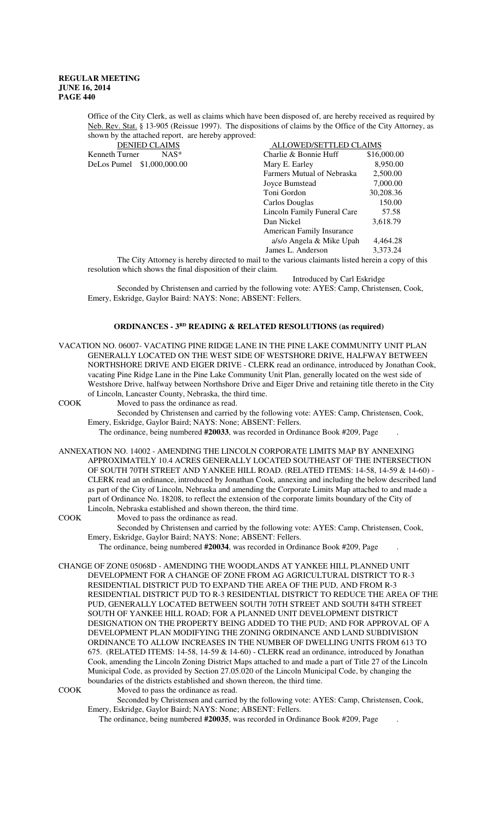Office of the City Clerk, as well as claims which have been disposed of, are hereby received as required by Neb. Rev. Stat. § 13-905 (Reissue 1997). The dispositions of claims by the Office of the City Attorney, as shown by the attached report, are hereby approved:

|                            | <b>DENIED CLAIMS</b> |
|----------------------------|----------------------|
| Kenneth Turner             | $NAS*$               |
| DeLos Pumel \$1,000,000.00 |                      |

| <b>DENIED CLAIMS</b>       | ALLOWED/SETTLED CLAIMS      |             |
|----------------------------|-----------------------------|-------------|
| $NAS^*$<br>Kenneth Turner  | Charlie & Bonnie Huff       | \$16,000.00 |
| DeLos Pumel \$1,000,000.00 | Mary E. Earley              | 8,950.00    |
|                            | Farmers Mutual of Nebraska  | 2,500.00    |
|                            | Joyce Bumstead              | 7,000.00    |
|                            | Toni Gordon                 | 30,208.36   |
|                            | Carlos Douglas              | 150.00      |
|                            | Lincoln Family Funeral Care | 57.58       |
|                            | Dan Nickel                  | 3,618.79    |
|                            | American Family Insurance   |             |
|                            | a/s/o Angela & Mike Upah    | 4,464.28    |
|                            | James L. Anderson           | 3,373.24    |
|                            |                             |             |

The City Attorney is hereby directed to mail to the various claimants listed herein a copy of this resolution which shows the final disposition of their claim.

Introduced by Carl Eskridge

Seconded by Christensen and carried by the following vote: AYES: Camp, Christensen, Cook, Emery, Eskridge, Gaylor Baird: NAYS: None; ABSENT: Fellers.

# **ORDINANCES - 3RD READING & RELATED RESOLUTIONS (as required)**

VACATION NO. 06007- VACATING PINE RIDGE LANE IN THE PINE LAKE COMMUNITY UNIT PLAN GENERALLY LOCATED ON THE WEST SIDE OF WESTSHORE DRIVE, HALFWAY BETWEEN NORTHSHORE DRIVE AND EIGER DRIVE - CLERK read an ordinance, introduced by Jonathan Cook, vacating Pine Ridge Lane in the Pine Lake Community Unit Plan, generally located on the west side of Westshore Drive, halfway between Northshore Drive and Eiger Drive and retaining title thereto in the City of Lincoln, Lancaster County, Nebraska, the third time.

COOK Moved to pass the ordinance as read.

Seconded by Christensen and carried by the following vote: AYES: Camp, Christensen, Cook, Emery, Eskridge, Gaylor Baird; NAYS: None; ABSENT: Fellers.

The ordinance, being numbered **#20033**, was recorded in Ordinance Book #209, Page .

ANNEXATION NO. 14002 - AMENDING THE LINCOLN CORPORATE LIMITS MAP BY ANNEXING APPROXIMATELY 10.4 ACRES GENERALLY LOCATED SOUTHEAST OF THE INTERSECTION OF SOUTH 70TH STREET AND YANKEE HILL ROAD. (RELATED ITEMS: 14-58, 14-59 & 14-60) - CLERK read an ordinance, introduced by Jonathan Cook, annexing and including the below described land as part of the City of Lincoln, Nebraska and amending the Corporate Limits Map attached to and made a part of Ordinance No. 18208, to reflect the extension of the corporate limits boundary of the City of Lincoln, Nebraska established and shown thereon, the third time.

COOK Moved to pass the ordinance as read.

Seconded by Christensen and carried by the following vote: AYES: Camp, Christensen, Cook, Emery, Eskridge, Gaylor Baird; NAYS: None; ABSENT: Fellers.

The ordinance, being numbered **#20034**, was recorded in Ordinance Book #209, Page .

CHANGE OF ZONE 05068D - AMENDING THE WOODLANDS AT YANKEE HILL PLANNED UNIT DEVELOPMENT FOR A CHANGE OF ZONE FROM AG AGRICULTURAL DISTRICT TO R-3 RESIDENTIAL DISTRICT PUD TO EXPAND THE AREA OF THE PUD, AND FROM R-3 RESIDENTIAL DISTRICT PUD TO R-3 RESIDENTIAL DISTRICT TO REDUCE THE AREA OF THE PUD, GENERALLY LOCATED BETWEEN SOUTH 70TH STREET AND SOUTH 84TH STREET SOUTH OF YANKEE HILL ROAD; FOR A PLANNED UNIT DEVELOPMENT DISTRICT DESIGNATION ON THE PROPERTY BEING ADDED TO THE PUD; AND FOR APPROVAL OF A DEVELOPMENT PLAN MODIFYING THE ZONING ORDINANCE AND LAND SUBDIVISION ORDINANCE TO ALLOW INCREASES IN THE NUMBER OF DWELLING UNITS FROM 613 TO 675. (RELATED ITEMS: 14-58, 14-59 & 14-60) - CLERK read an ordinance, introduced by Jonathan Cook, amending the Lincoln Zoning District Maps attached to and made a part of Title 27 of the Lincoln Municipal Code, as provided by Section 27.05.020 of the Lincoln Municipal Code, by changing the boundaries of the districts established and shown thereon, the third time.

COOK Moved to pass the ordinance as read.

Seconded by Christensen and carried by the following vote: AYES: Camp, Christensen, Cook, Emery, Eskridge, Gaylor Baird; NAYS: None; ABSENT: Fellers.

The ordinance, being numbered **#20035**, was recorded in Ordinance Book #209, Page .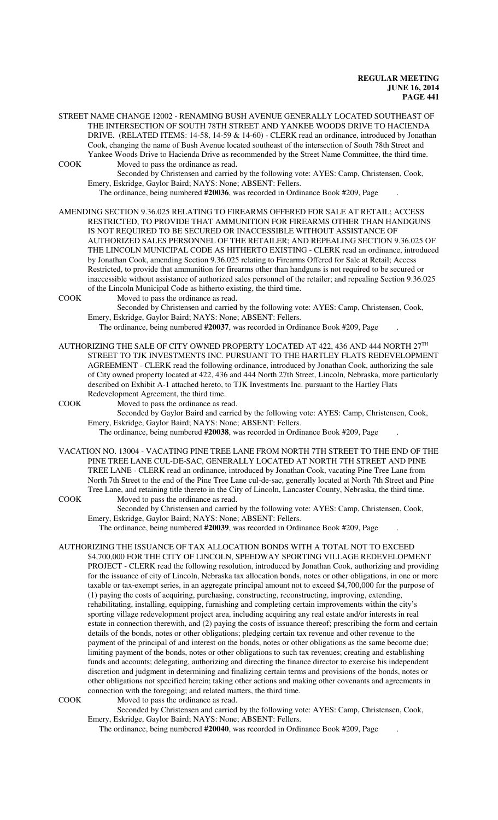STREET NAME CHANGE 12002 - RENAMING BUSH AVENUE GENERALLY LOCATED SOUTHEAST OF THE INTERSECTION OF SOUTH 78TH STREET AND YANKEE WOODS DRIVE TO HACIENDA DRIVE. (RELATED ITEMS: 14-58, 14-59 & 14-60) - CLERK read an ordinance, introduced by Jonathan Cook, changing the name of Bush Avenue located southeast of the intersection of South 78th Street and Yankee Woods Drive to Hacienda Drive as recommended by the Street Name Committee, the third time. COOK Moved to pass the ordinance as read.

Seconded by Christensen and carried by the following vote: AYES: Camp, Christensen, Cook, Emery, Eskridge, Gaylor Baird; NAYS: None; ABSENT: Fellers.

The ordinance, being numbered **#20036**, was recorded in Ordinance Book #209, Page .

AMENDING SECTION 9.36.025 RELATING TO FIREARMS OFFERED FOR SALE AT RETAIL; ACCESS RESTRICTED, TO PROVIDE THAT AMMUNITION FOR FIREARMS OTHER THAN HANDGUNS IS NOT REQUIRED TO BE SECURED OR INACCESSIBLE WITHOUT ASSISTANCE OF AUTHORIZED SALES PERSONNEL OF THE RETAILER; AND REPEALING SECTION 9.36.025 OF THE LINCOLN MUNICIPAL CODE AS HITHERTO EXISTING - CLERK read an ordinance, introduced by Jonathan Cook, amending Section 9.36.025 relating to Firearms Offered for Sale at Retail; Access Restricted, to provide that ammunition for firearms other than handguns is not required to be secured or inaccessible without assistance of authorized sales personnel of the retailer; and repealing Section 9.36.025 of the Lincoln Municipal Code as hitherto existing, the third time.

COOK Moved to pass the ordinance as read.

Seconded by Christensen and carried by the following vote: AYES: Camp, Christensen, Cook, Emery, Eskridge, Gaylor Baird; NAYS: None; ABSENT: Fellers.

The ordinance, being numbered **#20037**, was recorded in Ordinance Book #209, Page .

AUTHORIZING THE SALE OF CITY OWNED PROPERTY LOCATED AT 422, 436 AND 444 NORTH  $27^{\text{TH}}$ STREET TO TJK INVESTMENTS INC. PURSUANT TO THE HARTLEY FLATS REDEVELOPMENT AGREEMENT - CLERK read the following ordinance, introduced by Jonathan Cook, authorizing the sale of City owned property located at 422, 436 and 444 North 27th Street, Lincoln, Nebraska, more particularly described on Exhibit A-1 attached hereto, to TJK Investments Inc. pursuant to the Hartley Flats Redevelopment Agreement, the third time.

COOK Moved to pass the ordinance as read.

Seconded by Gaylor Baird and carried by the following vote: AYES: Camp, Christensen, Cook, Emery, Eskridge, Gaylor Baird; NAYS: None; ABSENT: Fellers.

The ordinance, being numbered **#20038**, was recorded in Ordinance Book #209, Page .

- VACATION NO. 13004 VACATING PINE TREE LANE FROM NORTH 7TH STREET TO THE END OF THE PINE TREE LANE CUL-DE-SAC, GENERALLY LOCATED AT NORTH 7TH STREET AND PINE TREE LANE - CLERK read an ordinance, introduced by Jonathan Cook, vacating Pine Tree Lane from North 7th Street to the end of the Pine Tree Lane cul-de-sac, generally located at North 7th Street and Pine Tree Lane, and retaining title thereto in the City of Lincoln, Lancaster County, Nebraska, the third time. COOK Moved to pass the ordinance as read.
	- Seconded by Christensen and carried by the following vote: AYES: Camp, Christensen, Cook, Emery, Eskridge, Gaylor Baird; NAYS: None; ABSENT: Fellers.

The ordinance, being numbered **#20039**, was recorded in Ordinance Book #209, Page .

AUTHORIZING THE ISSUANCE OF TAX ALLOCATION BONDS WITH A TOTAL NOT TO EXCEED \$4,700,000 FOR THE CITY OF LINCOLN, SPEEDWAY SPORTING VILLAGE REDEVELOPMENT PROJECT - CLERK read the following resolution, introduced by Jonathan Cook, authorizing and providing for the issuance of city of Lincoln, Nebraska tax allocation bonds, notes or other obligations, in one or more taxable or tax-exempt series, in an aggregate principal amount not to exceed \$4,700,000 for the purpose of (1) paying the costs of acquiring, purchasing, constructing, reconstructing, improving, extending, rehabilitating, installing, equipping, furnishing and completing certain improvements within the city's sporting village redevelopment project area, including acquiring any real estate and/or interests in real estate in connection therewith, and (2) paying the costs of issuance thereof; prescribing the form and certain details of the bonds, notes or other obligations; pledging certain tax revenue and other revenue to the payment of the principal of and interest on the bonds, notes or other obligations as the same become due; limiting payment of the bonds, notes or other obligations to such tax revenues; creating and establishing funds and accounts; delegating, authorizing and directing the finance director to exercise his independent discretion and judgment in determining and finalizing certain terms and provisions of the bonds, notes or other obligations not specified herein; taking other actions and making other covenants and agreements in connection with the foregoing; and related matters, the third time.

COOK Moved to pass the ordinance as read.

Seconded by Christensen and carried by the following vote: AYES: Camp, Christensen, Cook, Emery, Eskridge, Gaylor Baird; NAYS: None; ABSENT: Fellers.

The ordinance, being numbered **#20040**, was recorded in Ordinance Book #209, Page .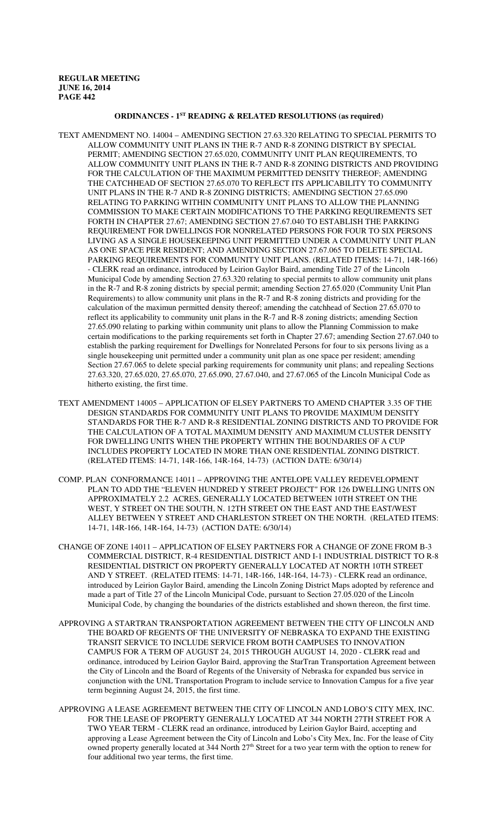### **ORDINANCES - 1ST READING & RELATED RESOLUTIONS (as required)**

- TEXT AMENDMENT NO. 14004 AMENDING SECTION 27.63.320 RELATING TO SPECIAL PERMITS TO ALLOW COMMUNITY UNIT PLANS IN THE R-7 AND R-8 ZONING DISTRICT BY SPECIAL PERMIT; AMENDING SECTION 27.65.020, COMMUNITY UNIT PLAN REQUIREMENTS, TO ALLOW COMMUNITY UNIT PLANS IN THE R-7 AND R-8 ZONING DISTRICTS AND PROVIDING FOR THE CALCULATION OF THE MAXIMUM PERMITTED DENSITY THEREOF; AMENDING THE CATCHHEAD OF SECTION 27.65.070 TO REFLECT ITS APPLICABILITY TO COMMUNITY UNIT PLANS IN THE R-7 AND R-8 ZONING DISTRICTS; AMENDING SECTION 27.65.090 RELATING TO PARKING WITHIN COMMUNITY UNIT PLANS TO ALLOW THE PLANNING COMMISSION TO MAKE CERTAIN MODIFICATIONS TO THE PARKING REQUIREMENTS SET FORTH IN CHAPTER 27.67; AMENDING SECTION 27.67.040 TO ESTABLISH THE PARKING REQUIREMENT FOR DWELLINGS FOR NONRELATED PERSONS FOR FOUR TO SIX PERSONS LIVING AS A SINGLE HOUSEKEEPING UNIT PERMITTED UNDER A COMMUNITY UNIT PLAN AS ONE SPACE PER RESIDENT; AND AMENDING SECTION 27.67.065 TO DELETE SPECIAL PARKING REQUIREMENTS FOR COMMUNITY UNIT PLANS. (RELATED ITEMS: 14-71, 14R-166) - CLERK read an ordinance, introduced by Leirion Gaylor Baird, amending Title 27 of the Lincoln Municipal Code by amending Section 27.63.320 relating to special permits to allow community unit plans in the R-7 and R-8 zoning districts by special permit; amending Section 27.65.020 (Community Unit Plan Requirements) to allow community unit plans in the R-7 and R-8 zoning districts and providing for the calculation of the maximun permitted density thereof; amending the catchhead of Section 27.65.070 to reflect its applicability to community unit plans in the R-7 and R-8 zoning districts; amending Section 27.65.090 relating to parking within community unit plans to allow the Planning Commission to make certain modifications to the parking requirements set forth in Chapter 27.67; amending Section 27.67.040 to establish the parking requirement for Dwellings for Nonrelated Persons for four to six persons living as a single housekeeping unit permitted under a community unit plan as one space per resident; amending Section 27.67.065 to delete special parking requirements for community unit plans; and repealing Sections 27.63.320, 27.65.020, 27.65.070, 27.65.090, 27.67.040, and 27.67.065 of the Lincoln Municipal Code as hitherto existing, the first time.
- TEXT AMENDMENT 14005 APPLICATION OF ELSEY PARTNERS TO AMEND CHAPTER 3.35 OF THE DESIGN STANDARDS FOR COMMUNITY UNIT PLANS TO PROVIDE MAXIMUM DENSITY STANDARDS FOR THE R-7 AND R-8 RESIDENTIAL ZONING DISTRICTS AND TO PROVIDE FOR THE CALCULATION OF A TOTAL MAXIMUM DENSITY AND MAXIMUM CLUSTER DENSITY FOR DWELLING UNITS WHEN THE PROPERTY WITHIN THE BOUNDARIES OF A CUP INCLUDES PROPERTY LOCATED IN MORE THAN ONE RESIDENTIAL ZONING DISTRICT. (RELATED ITEMS: 14-71, 14R-166, 14R-164, 14-73) (ACTION DATE: 6/30/14)
- COMP. PLAN CONFORMANCE 14011 APPROVING THE ANTELOPE VALLEY REDEVELOPMENT PLAN TO ADD THE "ELEVEN HUNDRED Y STREET PROJECT" FOR 126 DWELLING UNITS ON APPROXIMATELY 2.2 ACRES, GENERALLY LOCATED BETWEEN 10TH STREET ON THE WEST, Y STREET ON THE SOUTH, N. 12TH STREET ON THE EAST AND THE EAST/WEST ALLEY BETWEEN Y STREET AND CHARLESTON STREET ON THE NORTH. (RELATED ITEMS: 14-71, 14R-166, 14R-164, 14-73) (ACTION DATE: 6/30/14)
- CHANGE OF ZONE 14011 APPLICATION OF ELSEY PARTNERS FOR A CHANGE OF ZONE FROM B-3 COMMERCIAL DISTRICT, R-4 RESIDENTIAL DISTRICT AND I-1 INDUSTRIAL DISTRICT TO R-8 RESIDENTIAL DISTRICT ON PROPERTY GENERALLY LOCATED AT NORTH 10TH STREET AND Y STREET. (RELATED ITEMS: 14-71, 14R-166, 14R-164, 14-73) - CLERK read an ordinance, introduced by Leirion Gaylor Baird, amending the Lincoln Zoning District Maps adopted by reference and made a part of Title 27 of the Lincoln Municipal Code, pursuant to Section 27.05.020 of the Lincoln Municipal Code, by changing the boundaries of the districts established and shown thereon, the first time.
- APPROVING A STARTRAN TRANSPORTATION AGREEMENT BETWEEN THE CITY OF LINCOLN AND THE BOARD OF REGENTS OF THE UNIVERSITY OF NEBRASKA TO EXPAND THE EXISTING TRANSIT SERVICE TO INCLUDE SERVICE FROM BOTH CAMPUSES TO INNOVATION CAMPUS FOR A TERM OF AUGUST 24, 2015 THROUGH AUGUST 14, 2020 - CLERK read and ordinance, introduced by Leirion Gaylor Baird, approving the StarTran Transportation Agreement between the City of Lincoln and the Board of Regents of the University of Nebraska for expanded bus service in conjunction with the UNL Transportation Program to include service to Innovation Campus for a five year term beginning August 24, 2015, the first time.
- APPROVING A LEASE AGREEMENT BETWEEN THE CITY OF LINCOLN AND LOBO'S CITY MEX, INC. FOR THE LEASE OF PROPERTY GENERALLY LOCATED AT 344 NORTH 27TH STREET FOR A TWO YEAR TERM - CLERK read an ordinance, introduced by Leirion Gaylor Baird, accepting and approving a Lease Agreement between the City of Lincoln and Lobo's City Mex, Inc. For the lease of City owned property generally located at 344 North  $27<sup>th</sup>$  Street for a two year term with the option to renew for four additional two year terms, the first time.